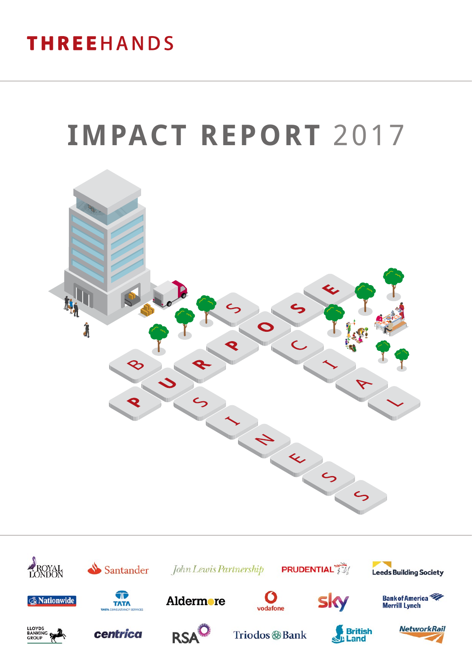## **THREEHANDS**

# **IMPACT REPORT** 2017



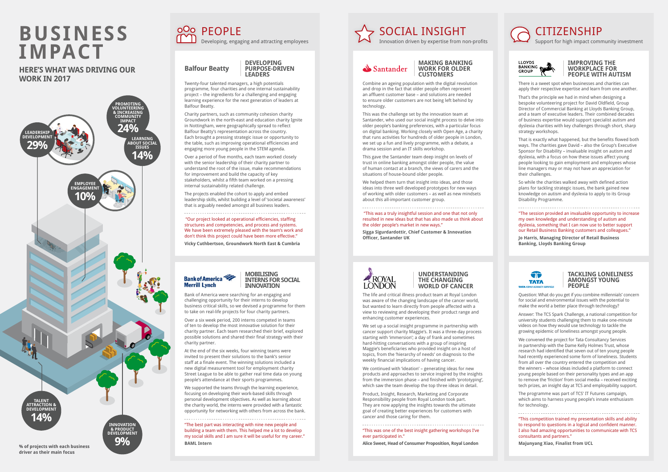## **BUSINESS** <sup>OO</sup> PEOPLE **Developing, engaging and attracting employees IMPACT**

### **HERE'S WHAT WAS DRIVING OUR WORK IN 2017**

## CITIZENSHIP

Support for high impact community investment



#### **DEVELOPING PURPOSE-DRIVEN LEADERS**

Twenty-four talented managers, a high potentials programme, four charities and one internal sustainability project – the ingredients for a challenging and engaging learning experience for the next generation of leaders at Balfour Beatty.

Charity partners, such as community cohesion charity Groundwork in the north-east and education charity Ignite in Nottingham, were geographically spread to reflect Balfour Beatty's representation across the country. Each brought a pressing strategic issue or opportunity to the table, such as improving operational efficiencies and engaging more young people in the STEM agenda.

Over a period of five months, each team worked closely with the senior leadership of their charity partner to understand the root of the issue, make recommendations for improvement and build the capacity of key stakeholders, whilst a fifth team worked on a pressing internal sustainability related challenge.

The projects enabled the cohort to apply and embed leadership skills, whilst building a level of 'societal awareness' that is arguably needed amongst all business leaders.

 "Our project looked at operational efficiencies, staffing structures and competencies, and process and systems. We have been extremely pleased with the team's work and don't think this project could have been more effective."

**Vicky Cuthbertson, Groundwork North East & Cumbria**

### **Bank of America Merrill Lynch**

#### **IMPROVING THE WORKPLACE FOR PEOPLE WITH AUTISM**

There is a sweet spot when businesses and charities can apply their respective expertise and learn from one another.

That's the principle we had in mind when designing a bespoke volunteering project for David Oldfield, Group Director of Commercial Banking at Lloyds Banking Group, and a team of executive leaders. Their combined decades of business expertise would support specialist autism and dyslexia charities with key challenges through short, sharp strategy workshops.

That is exactly what happened, but the benefits flowed both ways. The charities gave David – also the Group's Executive Sponsor for Disability – invaluable insight on autism and dyslexia, with a focus on how these issues affect young people looking to gain employment and employees whose line managers may or may not have an appreciation for their challenges.

So while the charities walked away with defined action plans for tackling strategic issues, the bank gained new knowledge on autism and dyslexia to apply to its Group Disability Programme.

"The session provided an invaluable opportunity to increase my own knowledge and understanding of autism and dyslexia, something that I can now use to better support our Retail Business Banking customers and colleagues."

**Jo Harris, Managing Director of Retail Business Banking, Lloyds Banking Group**



#### **MOBILISING INTERNS FOR SOCIAL INNOVATION**

Bank of America were searching for an engaging and challenging opportunity for their interns to develop business critical skills, so we devised a programme for them to take on real-life projects for four charity partners.

Over a six week period, 200 interns competed in teams of ten to develop the most innovative solution for their charity partner. Each team researched their brief, explored possible solutions and shared their final strategy with their charity partner.

At the end of the six weeks, four winning teams were invited to present their solutions to the bank's senior staff at a finale event. The winning solutions included a new digital measurement tool for employment charity Street League to be able to gather real time data on young people's attendance at their sports programmes.

We supported the teams through the learning experience, focusing on developing their work-based skills through personal development objectives. As well as learning about the charity world, the interns were provided with a fantastic opportunity for networking with others from across the bank.

"The best part was interacting with nine new people and building a team with them. This helped me a lot to develop my social skills and I am sure it will be useful for my career." **BAML Intern**

#### **MAKING BANKING WORK FOR OLDER CUSTOMERS**

Combine an ageing population with the digital revolution and drop in the fact that older people often represent an affluent customer base – and solutions are needed to ensure older customers are not being left behind by technology.

This was the challenge set by the innovation team at Santander, who used our social insight process to delve into older people's banking preferences, with a particular focus on digital banking. Working closely with Open Age, a charity that runs activities for hundreds of older people in London, we set up a fun and lively programme, with a debate, a drama session and an IT skills workshop.

This gave the Santander team deep insight on levels of trust in online banking amongst older people, the value of human contact at a branch, the views of carers and the situations of house-bound older people.

We helped them turn that insight into ideas, and those ideas into three well developed prototypes for new ways of working with older customers – as well as new mindsets about this all-important customer group.

#### "This was a truly insightful session and one that not only resulted in new ideas but that has also made us think about the older people's market in new ways."

**Sigga Sigurdardottir, Chief Customer & Innovation Officer, Santander UK**



#### **TACKLING LONELINESS AMONGST YOUNG PEOPLE**

Question: What do you get if you combine millennials' concern for social and environmental issues with the potential to make the world a better place through technology?

Answer: The TCS Spark Challenge, a national competition for university students challenging them to make one-minute videos on how they would use technology to tackle the growing epidemic of loneliness amongst young people.

We convened the project for Tata Consultancy Services in partnership with the Dame Kelly Holmes Trust, whose research had identified that seven out of ten young people had recently experienced some form of loneliness. Students from all over the country entered the competition and the winners – whose ideas included a platform to connect young people based on their personality types and an app to remove the 'friction' from social media – received exciting tech prizes, an insight day at TCS and employability support.

The programme was part of TCS' IT Futures campaign, which aims to harness young people's innate enthusiasm for technology.

"This competition trained my presentation skills and ability to respond to questions in a logical and confident manner. I also had amazing opportunities to communicate with TCS consultants and partners."

**Majunyang Xiao, Finalist from UCL**

## SOCIAL INSIGHT Innovation driven by expertise from non-profits

## Santander



#### **UNDERSTANDING THE CHANGING WORLD OF CANCER**

The life and critical illness product team at Royal London was aware of the changing landscape of the cancer world, but wanted to learn directly from people affected with a view to reviewing and developing their product range and enhancing customer experiences.

We set up a social insight programme in partnership with cancer support charity Maggie's. It was a three-day process starting with 'immersion'; a day of frank and sometimes hard-hitting conversations with a group of inspiring Maggie's beneficiaries who provided insight on a host of topics, from the 'hierarchy of needs' on diagnosis to the weekly financial implications of having cancer.

We continued with 'ideation' – generating ideas for new products and approaches to service inspired by the insights from the immersion phase – and finished with 'prototyping', which saw the team develop the top three ideas in detail.

Product, Insight, Research, Marketing and Corporate Responsibility people from Royal London took part. They are now applying the insights towards the ultimate goal of creating better experiences for customers with cancer and those caring for them.

#### "This was one of the best insight gathering workshops I've ever participated in."

**Alice Sweet, Head of Consumer Proposition, Royal London**



**Balfour Beatty**